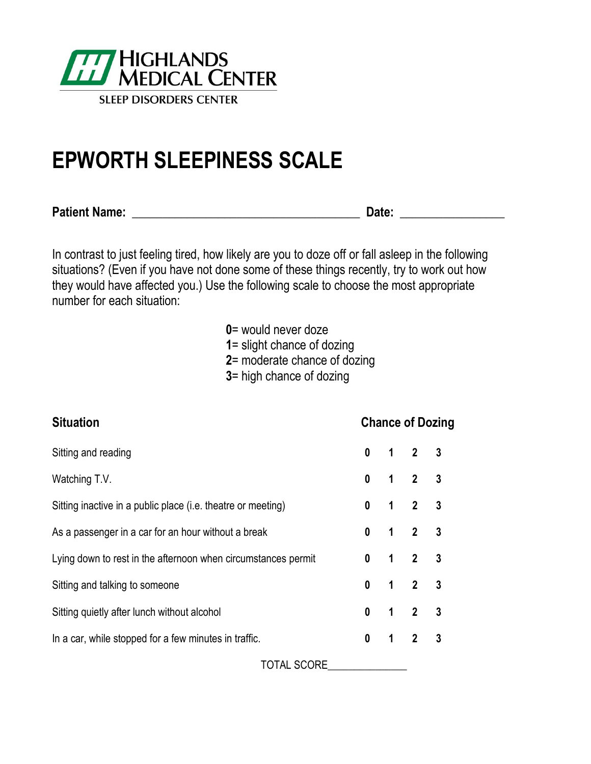

# **EPWORTH SLEEPINESS SCALE**

**Patient Name: \_\_\_\_\_\_\_\_\_\_\_\_\_\_\_\_\_\_\_\_\_\_\_\_\_\_\_\_\_\_\_\_\_\_\_\_\_ Date: \_\_\_\_\_\_\_\_\_\_\_\_\_\_\_\_\_**

In contrast to just feeling tired, how likely are you to doze off or fall asleep in the following situations? (Even if you have not done some of these things recently, try to work out how they would have affected you.) Use the following scale to choose the most appropriate number for each situation:

**0**= would never doze

**1**= slight chance of dozing

**2**= moderate chance of dozing

**3**= high chance of dozing

| <b>Situation</b>                                              |              |             |                     | <b>Chance of Dozing</b> |  |
|---------------------------------------------------------------|--------------|-------------|---------------------|-------------------------|--|
| Sitting and reading                                           | $\mathbf{0}$ |             | $1 \quad 2 \quad 3$ |                         |  |
| Watching T.V.                                                 | $\mathbf{0}$ |             | $1 \quad 2 \quad 3$ |                         |  |
| Sitting inactive in a public place (i.e. theatre or meeting)  | $\mathbf{0}$ |             | $1 \quad 2 \quad 3$ |                         |  |
| As a passenger in a car for an hour without a break           | $\mathbf{0}$ |             | $1 \quad 2 \quad 3$ |                         |  |
| Lying down to rest in the afternoon when circumstances permit | $\mathbf{0}$ |             | $1 2 3$             |                         |  |
| Sitting and talking to someone                                | $\mathbf{0}$ |             | $1 \quad 2 \quad 3$ |                         |  |
| Sitting quietly after lunch without alcohol                   | $\mathbf{0}$ |             | $1 \quad 2 \quad 3$ |                         |  |
| In a car, while stopped for a few minutes in traffic.         | $\mathbf 0$  | $\mathbf 1$ | 2 <sup>3</sup>      |                         |  |
| TOTAL SCORE                                                   |              |             |                     |                         |  |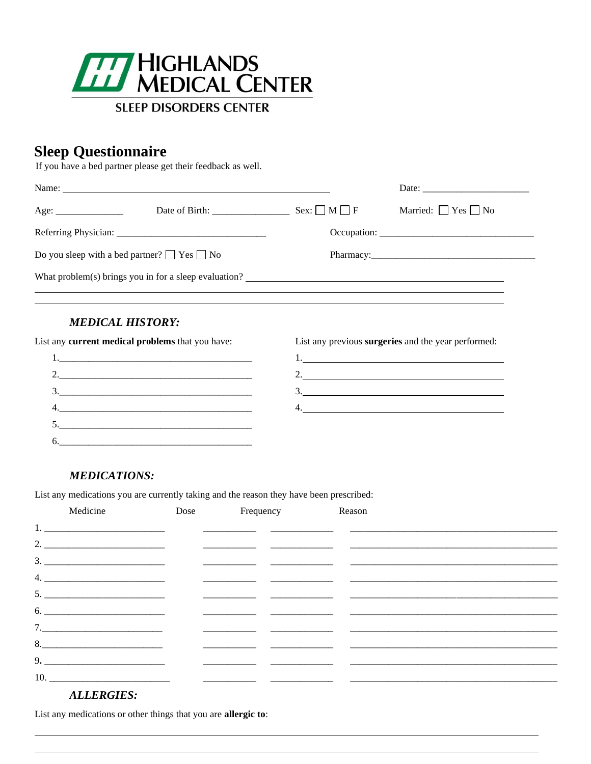

## **Sleep Questionnaire**

If you have a bed partner please get their feedback as well.

|                                                       | Date of Birth:                                        | $Sex: \Box M \Box F$ | Married: $\Box$ Yes $\Box$ No |
|-------------------------------------------------------|-------------------------------------------------------|----------------------|-------------------------------|
|                                                       |                                                       |                      |                               |
| Do you sleep with a bed partner? $\Box$ Yes $\Box$ No |                                                       |                      |                               |
|                                                       | What problem(s) brings you in for a sleep evaluation? |                      |                               |

## **MEDICAL HISTORY:**

List any current medical problems that you have:



List any previous surgeries and the year performed:

## **MEDICATIONS:**

List any medications you are currently taking and the reason they have been prescribed:

| Medicine                            | Dose Frequency Reason                                                            |                                                    |  |
|-------------------------------------|----------------------------------------------------------------------------------|----------------------------------------------------|--|
|                                     |                                                                                  |                                                    |  |
|                                     |                                                                                  |                                                    |  |
|                                     | <u> 1989 - Johann Barnett, fransk politik (d. 1989)</u>                          |                                                    |  |
|                                     |                                                                                  |                                                    |  |
|                                     |                                                                                  | <u> 1990 - Andrea San Andrea Andrea (h. 1980).</u> |  |
| $6. \underline{\hspace{1cm}}$       |                                                                                  |                                                    |  |
| 7.                                  |                                                                                  |                                                    |  |
| $8. \qquad \qquad 8. \qquad \qquad$ | <u> 1989 - Johann Barbara, martxa al III-lea (h. 1989).</u>                      |                                                    |  |
|                                     |                                                                                  |                                                    |  |
|                                     | <u> 1980 - Andrea Andrew Maria (h. 1980).</u><br>Arte de Andrew Maria (h. 1980). |                                                    |  |
|                                     |                                                                                  |                                                    |  |

## **ALLERGIES:**

List any medications or other things that you are allergic to: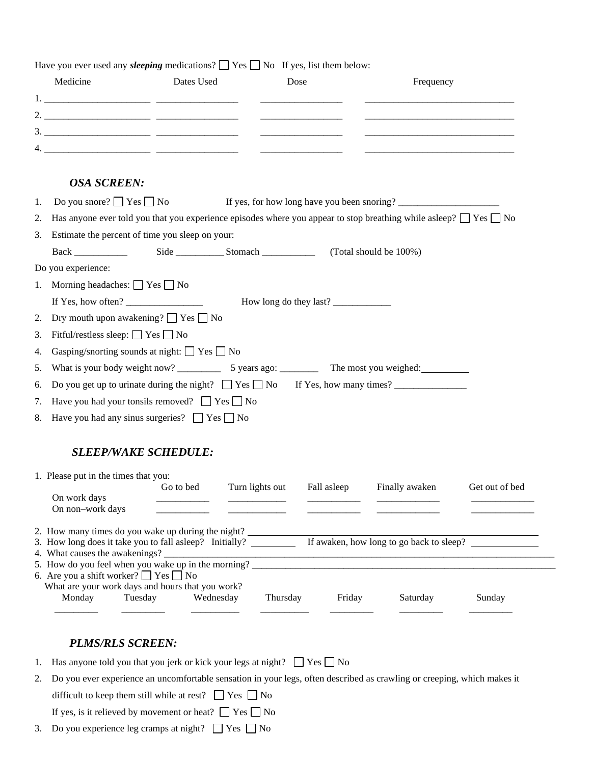Have you ever used any *sleeping* medications?  $\Box$  Yes  $\Box$  No If yes, list them below:

|    | Medicine                                                                                                                           | Dates Used | Dose                           | Frequency                                                                                                                   |                |
|----|------------------------------------------------------------------------------------------------------------------------------------|------------|--------------------------------|-----------------------------------------------------------------------------------------------------------------------------|----------------|
|    |                                                                                                                                    |            |                                |                                                                                                                             |                |
|    |                                                                                                                                    |            |                                |                                                                                                                             |                |
|    |                                                                                                                                    |            |                                |                                                                                                                             |                |
|    |                                                                                                                                    |            |                                |                                                                                                                             |                |
|    | <b>OSA SCREEN:</b>                                                                                                                 |            |                                |                                                                                                                             |                |
| 1. | Do you snore? $\Box$ Yes $\Box$ No                                                                                                 |            |                                |                                                                                                                             |                |
| 2. |                                                                                                                                    |            |                                | Has anyone ever told you that you experience episodes where you appear to stop breathing while asleep? $\Box$ Yes $\Box$ No |                |
| 3. | Estimate the percent of time you sleep on your:                                                                                    |            |                                |                                                                                                                             |                |
|    |                                                                                                                                    |            |                                | (Total should be 100%)                                                                                                      |                |
|    | Do you experience:                                                                                                                 |            |                                |                                                                                                                             |                |
| 1. | Morning headaches: $\Box$ Yes $\Box$ No                                                                                            |            |                                |                                                                                                                             |                |
|    | If Yes, how often? $\frac{1}{\sqrt{1-\frac{1}{2}}}\left\{ \frac{1}{2}, \frac{1}{2}, \frac{1}{2}, \frac{1}{2}, \frac{1}{2}\right\}$ |            | How long do they last?         |                                                                                                                             |                |
| 2. | Dry mouth upon awakening? $\Box$ Yes $\Box$ No                                                                                     |            |                                |                                                                                                                             |                |
| 3. | Fitful/restless sleep: $\Box$ Yes $\Box$ No                                                                                        |            |                                |                                                                                                                             |                |
| 4. | Gasping/snorting sounds at night: $\Box$ Yes $\Box$ No                                                                             |            |                                |                                                                                                                             |                |
| 5. |                                                                                                                                    |            |                                |                                                                                                                             |                |
| 6. |                                                                                                                                    |            |                                | Do you get up to urinate during the night? $\Box$ Yes $\Box$ No If Yes, how many times?                                     |                |
| 7. | Have you had your tonsils removed? $\Box$ Yes $\Box$ No                                                                            |            |                                |                                                                                                                             |                |
| 8. | Have you had any sinus surgeries? $\Box$ Yes $\Box$ No                                                                             |            |                                |                                                                                                                             |                |
|    |                                                                                                                                    |            |                                |                                                                                                                             |                |
|    | <b>SLEEP/WAKE SCHEDULE:</b>                                                                                                        |            |                                |                                                                                                                             |                |
|    | 1. Please put in the times that you:                                                                                               |            |                                |                                                                                                                             |                |
|    | On work days                                                                                                                       | Go to bed  | Turn lights out<br>Fall asleep | Finally awaken                                                                                                              | Get out of bed |
|    | On non-work days                                                                                                                   |            |                                | ———————                                                                                                                     |                |
|    |                                                                                                                                    |            |                                |                                                                                                                             |                |
|    | 2. How many times do you wake up during the night?<br>3. How long does it take you to fall asleep? Initially?                      |            |                                | If awaken, how long to go back to sleep?                                                                                    |                |
|    | 4. What causes the awakenings?                                                                                                     |            |                                |                                                                                                                             |                |
|    | 5. How do you feel when you wake up in the morning?                                                                                |            |                                |                                                                                                                             |                |
|    | 6. Are you a shift worker? $\Box$ Yes $\Box$ No<br>What are your work days and hours that you work?                                |            |                                |                                                                                                                             |                |
|    | Monday<br>Tuesday                                                                                                                  | Wednesday  | Thursday                       | Friday<br>Saturday                                                                                                          | Sunday         |

#### *PLMS/RLS SCREEN:*

- 1. Has anyone told you that you jerk or kick your legs at night?  $\Box$  Yes  $\Box$  No
- 2. Do you ever experience an uncomfortable sensation in your legs, often described as crawling or creeping, which makes it difficult to keep them still while at rest?  $\Box$  Yes  $\Box$  No If yes, is it relieved by movement or heat?  $\Box$  Yes  $\Box$  No
- 3. Do you experience leg cramps at night?  $\Box$  Yes  $\Box$  No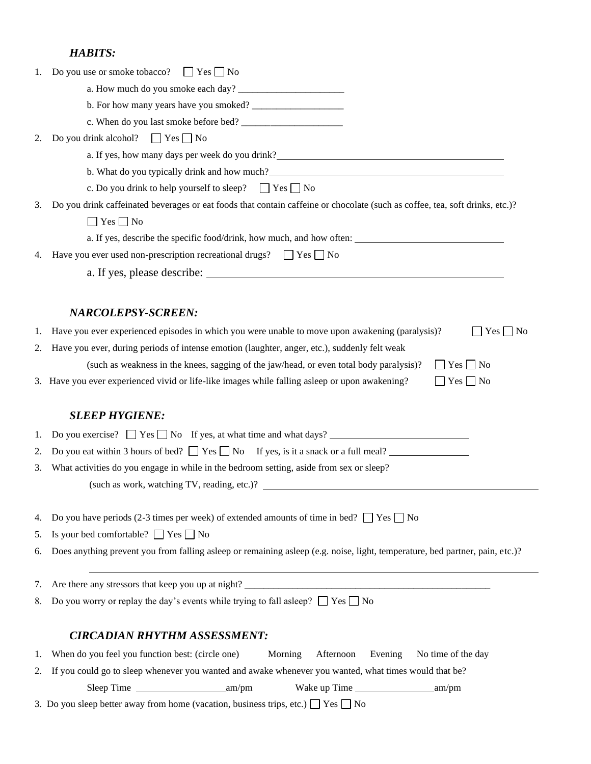## *HABITS:*

| 1. | Do you use or smoke tobacco? $\Box$ Yes $\Box$ No                                                                                                                                                                                      |
|----|----------------------------------------------------------------------------------------------------------------------------------------------------------------------------------------------------------------------------------------|
|    |                                                                                                                                                                                                                                        |
|    |                                                                                                                                                                                                                                        |
|    |                                                                                                                                                                                                                                        |
| 2. | Do you drink alcohol? $\Box$ Yes $\Box$ No                                                                                                                                                                                             |
|    | a. If yes, how many days per week do you drink?__________________________________                                                                                                                                                      |
|    | b. What do you typically drink and how much?<br><u>Letting and the contract of the set of the set of the set of the set of the set of the set of the set of the set of the set of the set of the set of the set of the set of the </u> |
|    | c. Do you drink to help yourself to sleep? $\Box$ Yes $\Box$ No                                                                                                                                                                        |
| 3. | Do you drink caffeinated beverages or eat foods that contain caffeine or chocolate (such as coffee, tea, soft drinks, etc.)?                                                                                                           |
|    | $\Box$ Yes $\Box$ No                                                                                                                                                                                                                   |
|    | a. If yes, describe the specific food/drink, how much, and how often:                                                                                                                                                                  |
| 4. | Have you ever used non-prescription recreational drugs? $\Box$ Yes $\Box$ No                                                                                                                                                           |
|    | a. If yes, please describe:                                                                                                                                                                                                            |
|    | <b>NARCOLEPSY-SCREEN:</b>                                                                                                                                                                                                              |
| 1. | Have you ever experienced episodes in which you were unable to move upon awakening (paralysis)?<br>$\Box$ Yes $\Box$ No                                                                                                                |
| 2. | Have you ever, during periods of intense emotion (laughter, anger, etc.), suddenly felt weak                                                                                                                                           |
|    | (such as weakness in the knees, sagging of the jaw/head, or even total body paralysis)?<br>$\Box$ Yes $\Box$ No                                                                                                                        |
|    | 3. Have you ever experienced vivid or life-like images while falling asleep or upon awakening?<br>$\Box$ Yes $\Box$ No                                                                                                                 |
|    | <b>SLEEP HYGIENE:</b>                                                                                                                                                                                                                  |
| 1. | Do you exercise? $\Box$ Yes $\Box$ No If yes, at what time and what days?                                                                                                                                                              |
| 2. | Do you eat within 3 hours of bed? $\Box$ Yes $\Box$ No If yes, is it a snack or a full meal?                                                                                                                                           |
| 3. | What activities do you engage in while in the bedroom setting, aside from sex or sleep?                                                                                                                                                |
|    |                                                                                                                                                                                                                                        |
| 4. | Do you have periods (2-3 times per week) of extended amounts of time in bed? $\Box$ Yes $\Box$ No                                                                                                                                      |
| 5. | Is your bed comfortable? $\Box$ Yes $\Box$ No                                                                                                                                                                                          |
| 6. | Does anything prevent you from falling asleep or remaining asleep (e.g. noise, light, temperature, bed partner, pain, etc.)?                                                                                                           |
| 7. |                                                                                                                                                                                                                                        |
| 8. | Do you worry or replay the day's events while trying to fall asleep? $\Box$ Yes $\Box$ No                                                                                                                                              |
|    |                                                                                                                                                                                                                                        |
|    | <b>CIRCADIAN RHYTHM ASSESSMENT:</b>                                                                                                                                                                                                    |
| 1. | When do you feel you function best: (circle one)<br>Morning<br>Afternoon<br>Evening<br>No time of the day                                                                                                                              |
| 2. | If you could go to sleep whenever you wanted and awake whenever you wanted, what times would that be?                                                                                                                                  |
|    | 3. Do you sleep better away from home (vacation, business trips, etc.) $\Box$ Yes $\Box$ No                                                                                                                                            |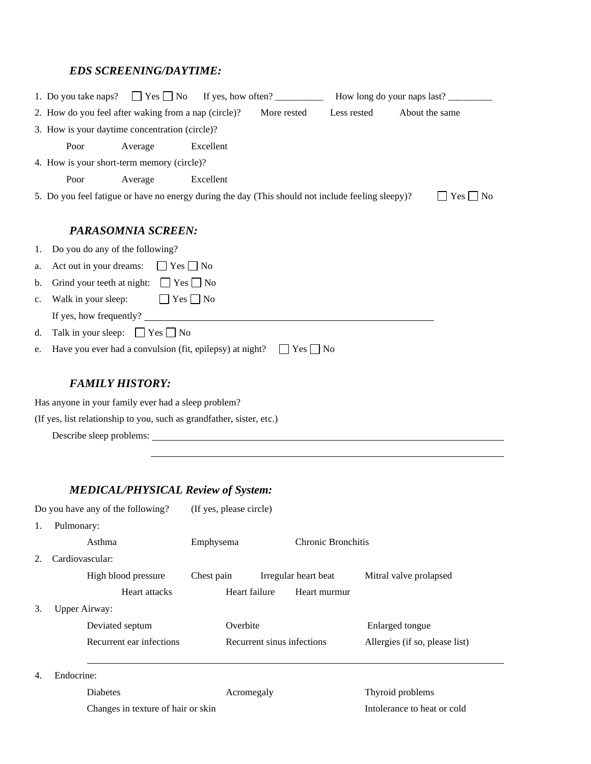## *EDS SCREENING/DAYTIME:*

|    | 1. Do you take naps?                                                                              |                      |           |                      |             |                |                           |
|----|---------------------------------------------------------------------------------------------------|----------------------|-----------|----------------------|-------------|----------------|---------------------------|
|    | 2. How do you feel after waking from a nap (circle)?                                              |                      |           | More rested          | Less rested | About the same |                           |
|    | 3. How is your daytime concentration (circle)?                                                    |                      |           |                      |             |                |                           |
|    | Poor                                                                                              | Average              | Excellent |                      |             |                |                           |
|    | 4. How is your short-term memory (circle)?                                                        |                      |           |                      |             |                |                           |
|    | Poor                                                                                              | Average              | Excellent |                      |             |                |                           |
|    | 5. Do you feel fatigue or have no energy during the day (This should not include feeling sleepy)? |                      |           |                      |             |                | Yes    <br>N <sub>o</sub> |
|    |                                                                                                   |                      |           |                      |             |                |                           |
|    |                                                                                                   | PARASOMNIA SCREEN:   |           |                      |             |                |                           |
|    | 1. Do you do any of the following?                                                                |                      |           |                      |             |                |                           |
| a. | Act out in your dreams:                                                                           | $ $   Yes     No     |           |                      |             |                |                           |
| b. | Grind your teeth at night: $\Box$ Yes $\Box$ No                                                   |                      |           |                      |             |                |                           |
| c. | Walk in your sleep:                                                                               | $\Box$ Yes $\Box$ No |           |                      |             |                |                           |
|    | If yes, how frequently?                                                                           |                      |           |                      |             |                |                           |
| d. | Talk in your sleep: $\Box$ Yes $\Box$ No                                                          |                      |           |                      |             |                |                           |
| e. | Have you ever had a convulsion (fit, epilepsy) at night?                                          |                      |           | $\Box$ Yes $\Box$ No |             |                |                           |
|    |                                                                                                   |                      |           |                      |             |                |                           |
|    | <b>FAMILY HISTORY:</b>                                                                            |                      |           |                      |             |                |                           |

Has anyone in your family ever had a sleep problem?

(If yes, list relationship to you, such as grandfather, sister, etc.)

Describe sleep problems:

## *MEDICAL/PHYSICAL Review of System:*

Do you have any of the following? (If yes, please circle)

1. Pulmonary:

|    | Asthma                   | Emphysema     | Chronic Bronchitis         |                                |
|----|--------------------------|---------------|----------------------------|--------------------------------|
| 2. | Cardiovascular:          |               |                            |                                |
|    | High blood pressure      | Chest pain    | Irregular heart beat       | Mitral valve prolapsed         |
|    | Heart attacks            | Heart failure | Heart murmur               |                                |
| 3. | <b>Upper Airway:</b>     |               |                            |                                |
|    | Deviated septum          | Overbite      |                            | Enlarged tongue                |
|    | Recurrent ear infections |               | Recurrent sinus infections | Allergies (if so, please list) |
|    |                          |               |                            |                                |
| 4. | Endocrine:               |               |                            |                                |

Diabetes **Acromegaly CONFIGURER Acromegaly CONFIGURER 2019** Thyroid problems

Changes in texture of hair or skin Intolerance to heat or cold

 $\overline{\phantom{0}}$